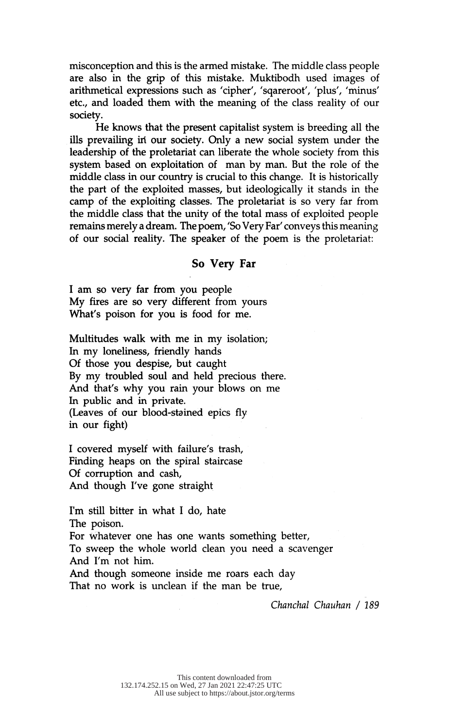misconception and this is the armed mistake. The middle class people are also in the grip of this mistake. Muktibodh used images of arithmetical expressions such as 'cipher', 'sqareroot', 'plus', 'minus' etc., and loaded them with the meaning of the class reality of our society.

 He knows that the present capitalist system is breeding all the ills prevailing in our society. Only a new social system under the leadership of the proletariat can liberate the whole society from this system based on exploitation of man by man. But the role of the middle class in our country is crucial to this change. It is historically the part of the exploited masses, but ideologically it stands in the camp of the exploiting classes. The proletariat is so very far from the middle class that the unity of the total mass of exploited people remains merely a dream. The poem, 'So Very Far' conveys this meaning of our social reality. The speaker of the poem is the proletariat:

## So Very Far

 I am so very far from you people My fires are so very different from yours What's poison for you is food for me.

 Multitudes walk with me in my isolation; In my loneliness, friendly hands Of those you despise, but caught By my troubled soul and held precious there. And that's why you rain your blows on me In public and in private. (Leaves of our blood-stained epics fly in our fight)

 I covered myself with failure's trash, Finding heaps on the spiral staircase Of corruption and cash, And though I've gone straight

 I'm still bitter in what I do, hate The poison. For whatever one has one wants something better, To sweep the whole world clean you need a scavenger And I'm not him. And though someone inside me roars each day

That no work is unclean if the man be true,

Chanchal Chauhan / 189